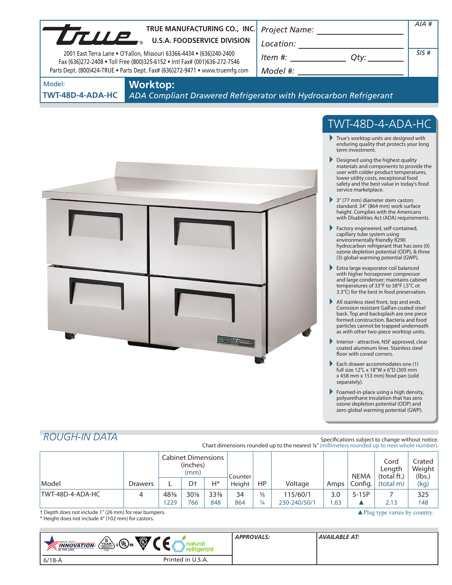| TRUE MANUFACTURING CO., INC.<br>TRUE MANUFACTURING CO., INC                                                                                                                                                                       |                                                                                                                                                                                                                                                                                                                                                                                                                                                                                                                                                                                                                                                                                                                                                                                                                                                                                                                                                                                                                                                                                                                                                                                                                                                                                                                                                                                                                                                                                                                                                                                                                                                                                                                                | AIA# |
|-----------------------------------------------------------------------------------------------------------------------------------------------------------------------------------------------------------------------------------|--------------------------------------------------------------------------------------------------------------------------------------------------------------------------------------------------------------------------------------------------------------------------------------------------------------------------------------------------------------------------------------------------------------------------------------------------------------------------------------------------------------------------------------------------------------------------------------------------------------------------------------------------------------------------------------------------------------------------------------------------------------------------------------------------------------------------------------------------------------------------------------------------------------------------------------------------------------------------------------------------------------------------------------------------------------------------------------------------------------------------------------------------------------------------------------------------------------------------------------------------------------------------------------------------------------------------------------------------------------------------------------------------------------------------------------------------------------------------------------------------------------------------------------------------------------------------------------------------------------------------------------------------------------------------------------------------------------------------------|------|
| 2001 East Terra Lane . O'Fallon, Missouri 63366-4434 . (636)240-2400<br>Fax (636)272-2408 . Toll Free (800)325-6152 . Intl Fax# (001)636-272-7546<br>Parts Dept. (800)424-TRUE . Parts Dept. Fax# (636)272-9471 . www.truemfg.com | $\begin{array}{c}\n\text{Location:}\n\\ \hline\n\text{Item } \#: \begin{array}{c}\n\hline\n\end{array} Q \text{ty:}\n\end{array}$                                                                                                                                                                                                                                                                                                                                                                                                                                                                                                                                                                                                                                                                                                                                                                                                                                                                                                                                                                                                                                                                                                                                                                                                                                                                                                                                                                                                                                                                                                                                                                                              | SIS# |
| Model:<br><b>Worktop:</b><br>ADA Compliant Drawered Refrigerator with Hydrocarbon Refrigerant<br>TWT-48D-4-ADA-HC                                                                                                                 |                                                                                                                                                                                                                                                                                                                                                                                                                                                                                                                                                                                                                                                                                                                                                                                                                                                                                                                                                                                                                                                                                                                                                                                                                                                                                                                                                                                                                                                                                                                                                                                                                                                                                                                                |      |
| <b>LEUP</b>                                                                                                                                                                                                                       | TWT-48D-4-ADA-HC<br>$\blacktriangleright$ True's worktop units are designed with<br>enduring quality that protects your long<br>term investment.<br>Designed using the highest quality<br>materials and components to provide the<br>user with colder product temperatures,<br>lower utility costs, exceptional food<br>safety and the best value in today's food<br>service marketplace.<br>$\triangleright$ 3" (77 mm) diameter stem castors<br>standard. 34" (864 mm) work surface<br>height. Complies with the Americans<br>with Disabilities Act (ADA) requirements.<br>Factory engineered, self-contained,<br>capillary tube system using<br>environmentally friendly R290<br>hydrocarbon refrigerant that has zero (0)<br>ozone depletion potential (ODP), & three<br>(3) global warming potential (GWP).<br>Extra large evaporator coil balanced<br>with higher horsepower compressor<br>and large condenser; maintains cabinet<br>temperatures of 33°F to 38°F (.5°C ot<br>3.3°C) for the best in food preservation.<br>All stainless steel front, top and ends.<br>Corrosion resistant GalFan coated steel<br>back. Top and backsplash are one piece<br>formed construction. Bacteria and food<br>particles cannot be trapped underneath<br>as with other two-piece worktop units.<br>Þ.<br>Interior - attractive, NSF approved, clear<br>coated aluminum liner. Stainless steel<br>floor with coved corners.<br>Each drawer accommodates one (1)<br>full size 12"L x 18"W x 6"D (305 mm<br>x 458 mm x 153 mm) food pan (sold<br>separately).<br>Þ.<br>Foamed-in-place using a high density,<br>polyurethane insulation that has zero<br>ozone depletion potential (ODP) and<br>zero global warming potential (GWP). |      |

# *ROUGH-IN DATA*

m.

Specifications subject to change without notice. Chart dimensions rounded up to the nearest <sup>1</sup>/8" (millimeters rounded up to next whole number).

|                                                       |                | <b>Cabinet Dimensions</b><br>(inches)<br>(mm) |                | Counter         |        |               |              | <b>NEMA</b> | Cord<br>Length<br>(total ft.) | Crated '<br>Weight  <br>(lbs.)           |      |
|-------------------------------------------------------|----------------|-----------------------------------------------|----------------|-----------------|--------|---------------|--------------|-------------|-------------------------------|------------------------------------------|------|
| Model                                                 | <b>Drawers</b> |                                               | D <sup>+</sup> | $H^*$           | Height | HP.           | Voltage      | Amps        | ' Config.                     | (total m)                                | (kg) |
| TWT-48D-4-ADA-HC                                      |                | 48%                                           | 30%            | $33\frac{3}{8}$ | 34     | $\frac{1}{5}$ | 115/60/1     | 3.0         | $5-15P$                       |                                          | 325  |
|                                                       |                | 229                                           | 766            | 848             | 864    | ¼             | 230-240/50/1 | .63         |                               | 2.13                                     | 148  |
| † Depth does not include 1" (26 mm) for rear bumpers. |                |                                               |                |                 |        |               |              |             |                               | $\triangle$ Plug type varies by country. |      |

† Depth does not include 1" (26 mm) for rear bumpers. \* Height does not include 4" (102 mm) for castors.

| Õ,<br>$\left(\frac{5}{4}R_{\text{max}}\right)c$ (UL) us<br><b>MADE WITH_</b><br><b>INNOVATION</b><br><b>M</b> THE USA<br><b>USA</b> |                   | <b>APPROVALS:</b> | AVAILABLE AT: |
|-------------------------------------------------------------------------------------------------------------------------------------|-------------------|-------------------|---------------|
| $6/18-A$                                                                                                                            | Printed in U.S.A. |                   |               |